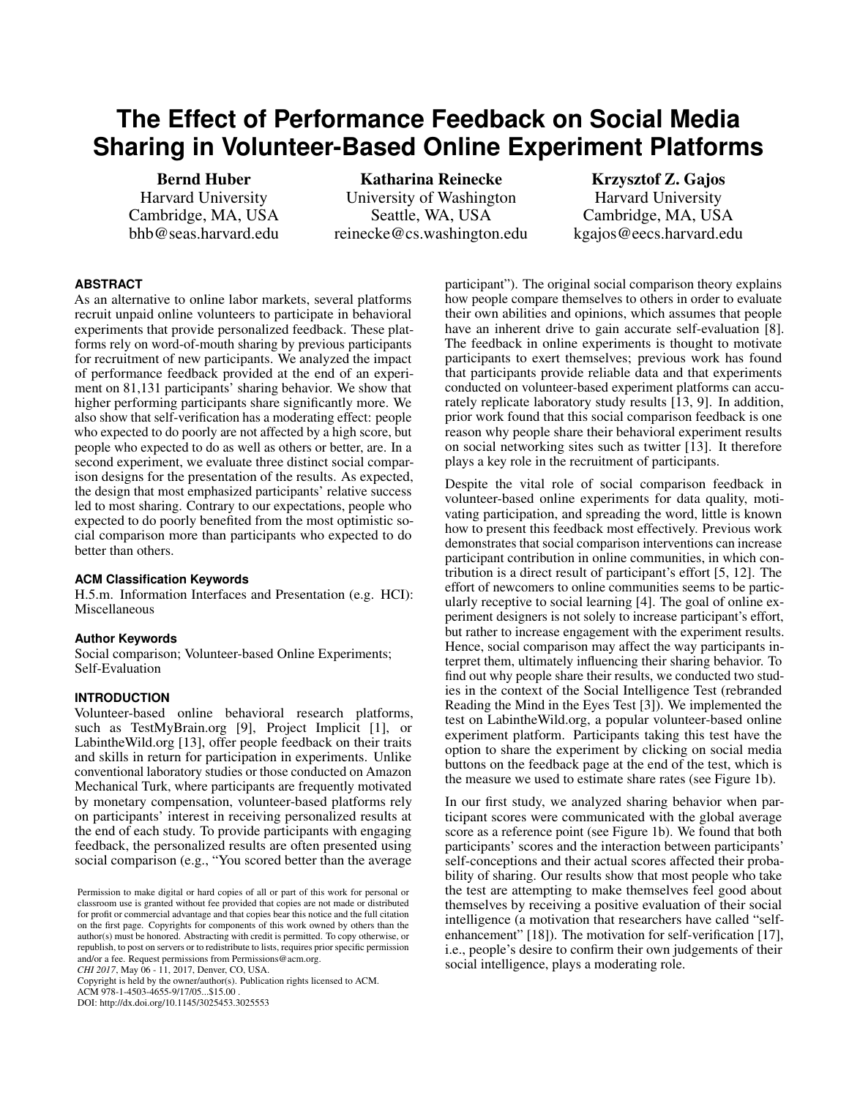# **The Effect of Performance Feedback on Social Media Sharing in Volunteer-Based Online Experiment Platforms**

Bernd Huber Harvard University Cambridge, MA, USA bhb@seas.harvard.edu

Katharina Reinecke University of Washington Seattle, WA, USA reinecke@cs.washington.edu

Krzysztof Z. Gajos Harvard University Cambridge, MA, USA kgajos@eecs.harvard.edu

## **ABSTRACT**

As an alternative to online labor markets, several platforms recruit unpaid online volunteers to participate in behavioral experiments that provide personalized feedback. These platforms rely on word-of-mouth sharing by previous participants for recruitment of new participants. We analyzed the impact of performance feedback provided at the end of an experiment on 81,131 participants' sharing behavior. We show that higher performing participants share significantly more. We also show that self-verification has a moderating effect: people who expected to do poorly are not affected by a high score, but people who expected to do as well as others or better, are. In a second experiment, we evaluate three distinct social comparison designs for the presentation of the results. As expected, the design that most emphasized participants' relative success led to most sharing. Contrary to our expectations, people who expected to do poorly benefited from the most optimistic social comparison more than participants who expected to do better than others.

## **ACM Classification Keywords**

H.5.m. Information Interfaces and Presentation (e.g. HCI): Miscellaneous

## **Author Keywords**

Social comparison; Volunteer-based Online Experiments; Self-Evaluation

## **INTRODUCTION**

Volunteer-based online behavioral research platforms, such as TestMyBrain.org [\[9\]](#page-4-0), Project Implicit [\[1\]](#page-4-1), or LabintheWild.org [\[13\]](#page-4-2), offer people feedback on their traits and skills in return for participation in experiments. Unlike conventional laboratory studies or those conducted on Amazon Mechanical Turk, where participants are frequently motivated by monetary compensation, volunteer-based platforms rely on participants' interest in receiving personalized results at the end of each study. To provide participants with engaging feedback, the personalized results are often presented using social comparison (e.g., "You scored better than the average

*CHI 2017*, May 06 - 11, 2017, Denver, CO, USA.

Copyright is held by the owner/author(s). Publication rights licensed to ACM.

ACM 978-1-4503-4655-9/17/05...\$15.00 . DOI: http://dx.doi.org/10.1145/3025453.3025553

participant"). The original social comparison theory explains how people compare themselves to others in order to evaluate their own abilities and opinions, which assumes that people have an inherent drive to gain accurate self-evaluation [\[8\]](#page-4-3). The feedback in online experiments is thought to motivate participants to exert themselves; previous work has found that participants provide reliable data and that experiments conducted on volunteer-based experiment platforms can accurately replicate laboratory study results [\[13,](#page-4-2) [9\]](#page-4-0). In addition, prior work found that this social comparison feedback is one reason why people share their behavioral experiment results on social networking sites such as twitter [\[13\]](#page-4-2). It therefore plays a key role in the recruitment of participants.

Despite the vital role of social comparison feedback in volunteer-based online experiments for data quality, motivating participation, and spreading the word, little is known how to present this feedback most effectively. Previous work demonstrates that social comparison interventions can increase participant contribution in online communities, in which contribution is a direct result of participant's effort [\[5,](#page-4-4) [12\]](#page-4-5). The effort of newcomers to online communities seems to be particularly receptive to social learning [\[4\]](#page-4-6). The goal of online experiment designers is not solely to increase participant's effort, but rather to increase engagement with the experiment results. Hence, social comparison may affect the way participants interpret them, ultimately influencing their sharing behavior. To find out why people share their results, we conducted two studies in the context of the Social Intelligence Test (rebranded Reading the Mind in the Eyes Test [\[3\]](#page-4-7)). We implemented the test on LabintheWild.org, a popular volunteer-based online experiment platform. Participants taking this test have the option to share the experiment by clicking on social media buttons on the feedback page at the end of the test, which is the measure we used to estimate share rates (see Figure [1b\)](#page-1-0).

In our first study, we analyzed sharing behavior when participant scores were communicated with the global average score as a reference point (see Figure [1b\)](#page-1-0). We found that both participants' scores and the interaction between participants' self-conceptions and their actual scores affected their probability of sharing. Our results show that most people who take the test are attempting to make themselves feel good about themselves by receiving a positive evaluation of their social intelligence (a motivation that researchers have called "self-enhancement" [\[18\]](#page-4-8)). The motivation for self-verification [\[17\]](#page-4-9), i.e., people's desire to confirm their own judgements of their social intelligence, plays a moderating role.

Permission to make digital or hard copies of all or part of this work for personal or classroom use is granted without fee provided that copies are not made or distributed for profit or commercial advantage and that copies bear this notice and the full citation on the first page. Copyrights for components of this work owned by others than the author(s) must be honored. Abstracting with credit is permitted. To copy otherwise, or republish, to post on servers or to redistribute to lists, requires prior specific permission and/or a fee. Request permissions from Permissions@acm.org.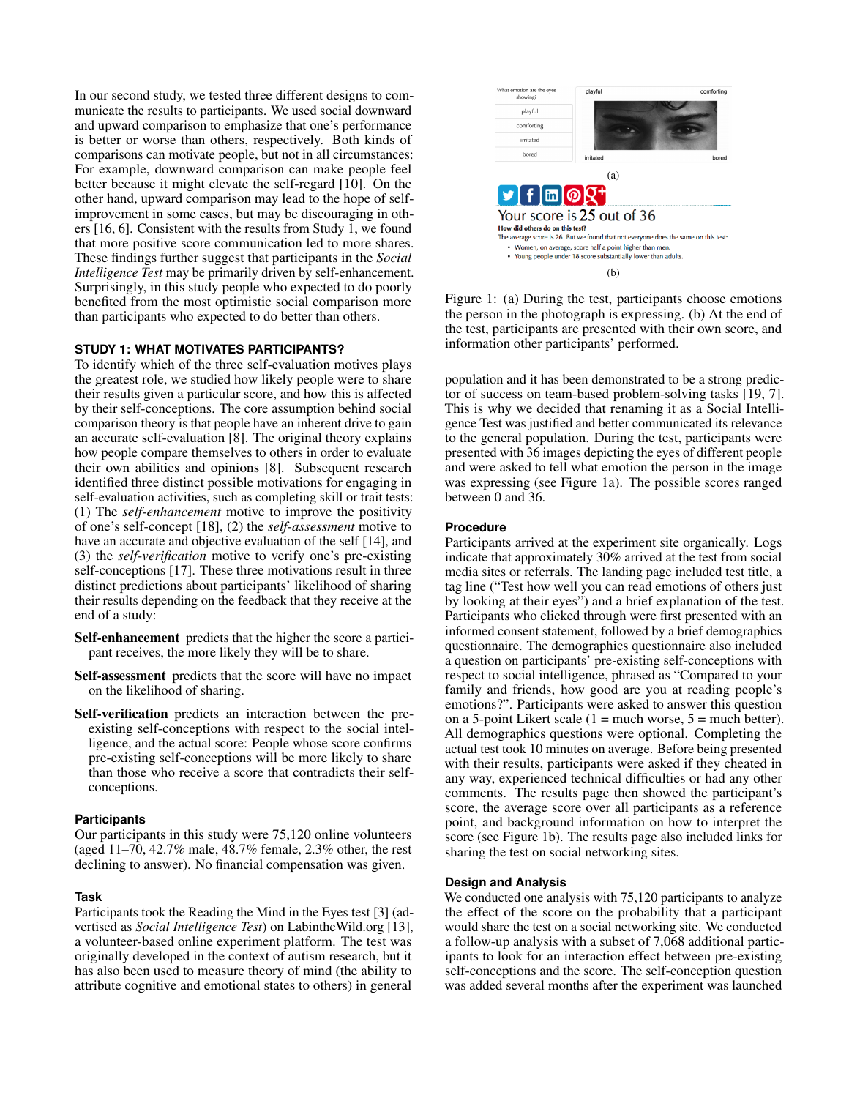In our second study, we tested three different designs to communicate the results to participants. We used social downward and upward comparison to emphasize that one's performance is better or worse than others, respectively. Both kinds of comparisons can motivate people, but not in all circumstances: For example, downward comparison can make people feel better because it might elevate the self-regard [\[10\]](#page-4-10). On the other hand, upward comparison may lead to the hope of selfimprovement in some cases, but may be discouraging in others [\[16,](#page-4-11) [6\]](#page-4-12). Consistent with the results from Study 1, we found that more positive score communication led to more shares. These findings further suggest that participants in the *Social Intelligence Test* may be primarily driven by self-enhancement. Surprisingly, in this study people who expected to do poorly benefited from the most optimistic social comparison more than participants who expected to do better than others.

## **STUDY 1: WHAT MOTIVATES PARTICIPANTS?**

To identify which of the three self-evaluation motives plays the greatest role, we studied how likely people were to share their results given a particular score, and how this is affected by their self-conceptions. The core assumption behind social comparison theory is that people have an inherent drive to gain an accurate self-evaluation [\[8\]](#page-4-3). The original theory explains how people compare themselves to others in order to evaluate their own abilities and opinions [\[8\]](#page-4-3). Subsequent research identified three distinct possible motivations for engaging in self-evaluation activities, such as completing skill or trait tests: (1) The *self-enhancement* motive to improve the positivity of one's self-concept [\[18\]](#page-4-8), (2) the *self-assessment* motive to have an accurate and objective evaluation of the self [\[14\]](#page-4-13), and (3) the *self-verification* motive to verify one's pre-existing self-conceptions [\[17\]](#page-4-9). These three motivations result in three distinct predictions about participants' likelihood of sharing their results depending on the feedback that they receive at the end of a study:

- Self-enhancement predicts that the higher the score a participant receives, the more likely they will be to share.
- Self-assessment predicts that the score will have no impact on the likelihood of sharing.
- Self-verification predicts an interaction between the preexisting self-conceptions with respect to the social intelligence, and the actual score: People whose score confirms pre-existing self-conceptions will be more likely to share than those who receive a score that contradicts their selfconceptions.

## **Participants**

Our participants in this study were 75,120 online volunteers (aged 11–70, 42.7% male, 48.7% female, 2.3% other, the rest declining to answer). No financial compensation was given.

## **Task**

Participants took the Reading the Mind in the Eyes test [\[3\]](#page-4-7) (advertised as *Social Intelligence Test*) on LabintheWild.org [\[13\]](#page-4-2), a volunteer-based online experiment platform. The test was originally developed in the context of autism research, but it has also been used to measure theory of mind (the ability to attribute cognitive and emotional states to others) in general

<span id="page-1-0"></span>

Figure 1: (a) During the test, participants choose emotions the person in the photograph is expressing. (b) At the end of the test, participants are presented with their own score, and information other participants' performed.

population and it has been demonstrated to be a strong predictor of success on team-based problem-solving tasks [\[19,](#page-4-14) [7\]](#page-4-15). This is why we decided that renaming it as a Social Intelligence Test was justified and better communicated its relevance to the general population. During the test, participants were presented with 36 images depicting the eyes of different people and were asked to tell what emotion the person in the image was expressing (see Figure [1a\)](#page-1-0). The possible scores ranged between 0 and 36.

#### **Procedure**

Participants arrived at the experiment site organically. Logs indicate that approximately 30% arrived at the test from social media sites or referrals. The landing page included test title, a tag line ("Test how well you can read emotions of others just by looking at their eyes") and a brief explanation of the test. Participants who clicked through were first presented with an informed consent statement, followed by a brief demographics questionnaire. The demographics questionnaire also included a question on participants' pre-existing self-conceptions with respect to social intelligence, phrased as "Compared to your family and friends, how good are you at reading people's emotions?". Participants were asked to answer this question on a 5-point Likert scale  $(1 = \text{much worse}, 5 = \text{much better})$ . All demographics questions were optional. Completing the actual test took 10 minutes on average. Before being presented with their results, participants were asked if they cheated in any way, experienced technical difficulties or had any other comments. The results page then showed the participant's score, the average score over all participants as a reference point, and background information on how to interpret the score (see Figure [1b\)](#page-1-0). The results page also included links for sharing the test on social networking sites.

#### **Design and Analysis**

We conducted one analysis with 75,120 participants to analyze the effect of the score on the probability that a participant would share the test on a social networking site. We conducted a follow-up analysis with a subset of 7,068 additional participants to look for an interaction effect between pre-existing self-conceptions and the score. The self-conception question was added several months after the experiment was launched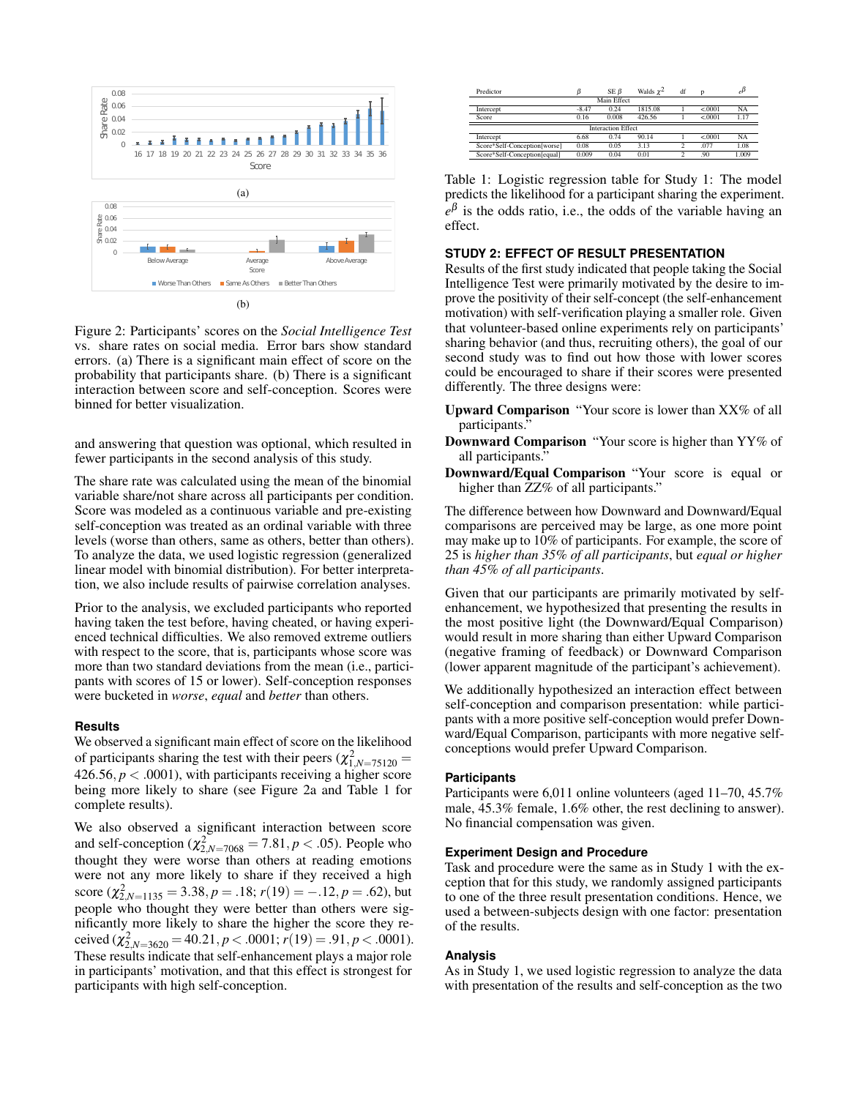<span id="page-2-0"></span>

Figure 2: Participants' scores on the *Social Intelligence Test* vs. share rates on social media. Error bars show standard errors. (a) There is a significant main effect of score on the probability that participants share. (b) There is a significant interaction between score and self-conception. Scores were binned for better visualization.

and answering that question was optional, which resulted in fewer participants in the second analysis of this study.

The share rate was calculated using the mean of the binomial variable share/not share across all participants per condition. Score was modeled as a continuous variable and pre-existing self-conception was treated as an ordinal variable with three levels (worse than others, same as others, better than others). To analyze the data, we used logistic regression (generalized linear model with binomial distribution). For better interpretation, we also include results of pairwise correlation analyses.

Prior to the analysis, we excluded participants who reported having taken the test before, having cheated, or having experienced technical difficulties. We also removed extreme outliers with respect to the score, that is, participants whose score was more than two standard deviations from the mean (i.e., participants with scores of 15 or lower). Self-conception responses were bucketed in *worse*, *equal* and *better* than others.

#### **Results**

We observed a significant main effect of score on the likelihood of participants sharing the test with their peers ( $\chi^2_{1,N=75120}$  =  $426.56, p < .0001$ , with participants receiving a higher score being more likely to share (see Figure [2a](#page-2-0) and Table 1 for complete results).

We also observed a significant interaction between score and self-conception ( $\chi^{2}_{2,N=7068} = 7.81, p < .05$ ). People who thought they were worse than others at reading emotions were not any more likely to share if they received a high score  $(\chi^2_{2,N=1135} = 3.38, p = .18; r(19) = -.12, p = .62)$ , but people who thought they were better than others were significantly more likely to share the higher the score they received  $(\chi^2_{2,N=3620} = 40.21, p < .0001; r(19) = .91, p < .0001)$ . These results indicate that self-enhancement plays a major role in participants' motivation, and that this effect is strongest for participants with high self-conception.

| Predictor                    |         | SEB   | Walds $\gamma^2$ | df |        |       |  |  |  |  |  |  |
|------------------------------|---------|-------|------------------|----|--------|-------|--|--|--|--|--|--|
| Main Effect                  |         |       |                  |    |        |       |  |  |  |  |  |  |
| Intercept                    | $-8.47$ | 0.24  | 1815.08          |    | < 0001 | NA    |  |  |  |  |  |  |
| Score                        | 0.16    | 0.008 | 426.56           |    | < 0001 | 117   |  |  |  |  |  |  |
| <b>Interaction Effect</b>    |         |       |                  |    |        |       |  |  |  |  |  |  |
| Intercept                    | 6.68    | 0.74  | 90.14            |    | < 0001 | NA    |  |  |  |  |  |  |
| Score*Self-Conception[worse] | 0.08    | 0.05  | 3.13             |    | .077   | 1.08  |  |  |  |  |  |  |
| Score*Self-Conception[equal] | 0.009   | 0.04  | 0.01             |    | .90    | 1.009 |  |  |  |  |  |  |

Table 1: Logistic regression table for Study 1: The model predicts the likelihood for a participant sharing the experiment.  $e^{\beta}$  is the odds ratio, i.e., the odds of the variable having an effect.

## **STUDY 2: EFFECT OF RESULT PRESENTATION**

Results of the first study indicated that people taking the Social Intelligence Test were primarily motivated by the desire to improve the positivity of their self-concept (the self-enhancement motivation) with self-verification playing a smaller role. Given that volunteer-based online experiments rely on participants' sharing behavior (and thus, recruiting others), the goal of our second study was to find out how those with lower scores could be encouraged to share if their scores were presented differently. The three designs were:

- Upward Comparison "Your score is lower than XX% of all participants."
- Downward Comparison "Your score is higher than YY% of all participants.'
- Downward/Equal Comparison "Your score is equal or higher than ZZ% of all participants."

The difference between how Downward and Downward/Equal comparisons are perceived may be large, as one more point may make up to 10% of participants. For example, the score of 25 is *higher than 35% of all participants*, but *equal or higher than 45% of all participants*.

Given that our participants are primarily motivated by selfenhancement, we hypothesized that presenting the results in the most positive light (the Downward/Equal Comparison) would result in more sharing than either Upward Comparison (negative framing of feedback) or Downward Comparison (lower apparent magnitude of the participant's achievement).

We additionally hypothesized an interaction effect between self-conception and comparison presentation: while participants with a more positive self-conception would prefer Downward/Equal Comparison, participants with more negative selfconceptions would prefer Upward Comparison.

## **Participants**

Participants were 6,011 online volunteers (aged 11–70, 45.7% male, 45.3% female, 1.6% other, the rest declining to answer). No financial compensation was given.

## **Experiment Design and Procedure**

Task and procedure were the same as in Study 1 with the exception that for this study, we randomly assigned participants to one of the three result presentation conditions. Hence, we used a between-subjects design with one factor: presentation of the results.

#### **Analysis**

As in Study 1, we used logistic regression to analyze the data with presentation of the results and self-conception as the two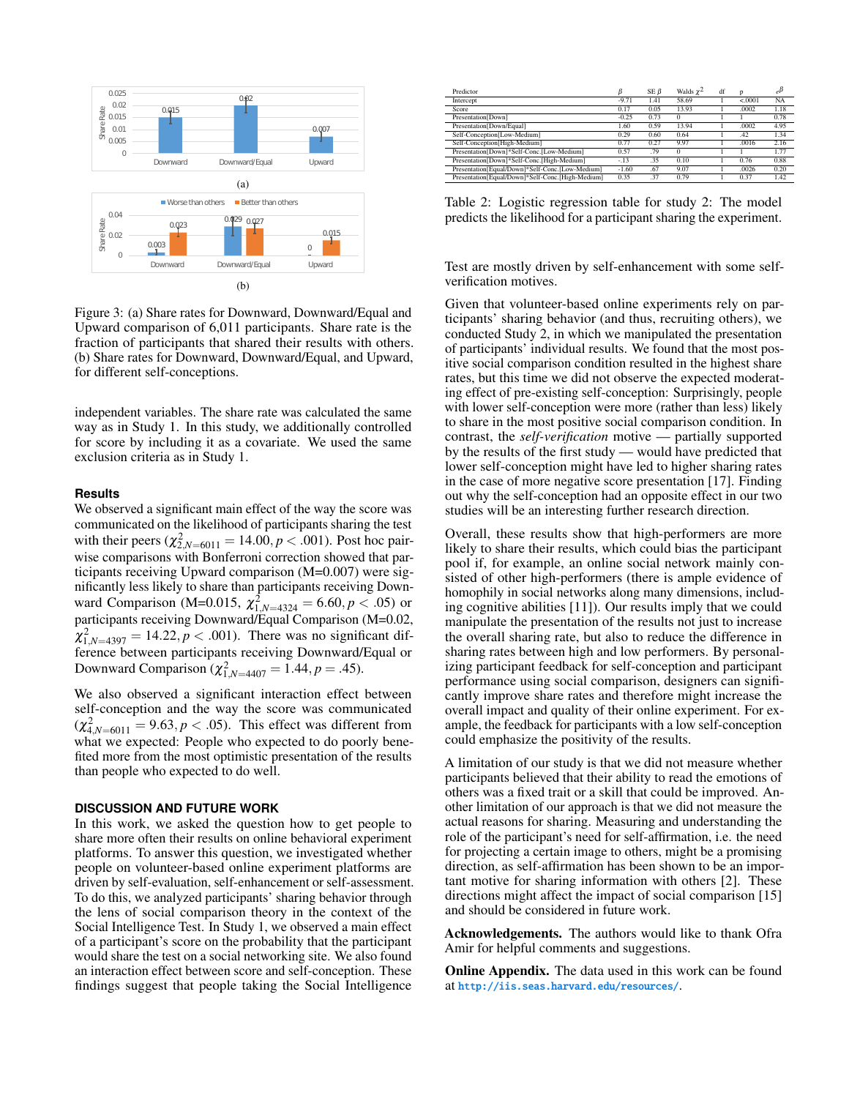

Figure 3: (a) Share rates for Downward, Downward/Equal and Upward comparison of 6,011 participants. Share rate is the fraction of participants that shared their results with others. (b) Share rates for Downward, Downward/Equal, and Upward, for different self-conceptions.

independent variables. The share rate was calculated the same way as in Study 1. In this study, we additionally controlled for score by including it as a covariate. We used the same exclusion criteria as in Study 1.

## **Results**

We observed a significant main effect of the way the score was communicated on the likelihood of participants sharing the test with their peers ( $\chi^2_{2,N=6011} = 14.00, p < .001$ ). Post hoc pairwise comparisons with Bonferroni correction showed that participants receiving Upward comparison (M=0.007) were significantly less likely to share than participants receiving Downward Comparison (M=0.015,  $\chi^2_{1,N=4324} = 6.60, p < .05$ ) or participants receiving Downward/Equal Comparison (M=0.02,  $\chi^2_{1,N=4397} = 14.22, p < .001$ ). There was no significant difference between participants receiving Downward/Equal or Downward Comparison ( $\chi^2_{1,N=4407} = 1.44, p = .45$ ).

We also observed a significant interaction effect between self-conception and the way the score was communicated  $(\chi^2_{4,N=6011} = 9.63, p < .05)$ . This effect was different from what we expected: People who expected to do poorly benefited more from the most optimistic presentation of the results than people who expected to do well.

## **DISCUSSION AND FUTURE WORK**

In this work, we asked the question how to get people to share more often their results on online behavioral experiment platforms. To answer this question, we investigated whether people on volunteer-based online experiment platforms are driven by self-evaluation, self-enhancement or self-assessment. To do this, we analyzed participants' sharing behavior through the lens of social comparison theory in the context of the Social Intelligence Test. In Study 1, we observed a main effect of a participant's score on the probability that the participant would share the test on a social networking site. We also found an interaction effect between score and self-conception. These findings suggest that people taking the Social Intelligence

| Predictor                                        | ß       | SE $\beta$ | Walds $\chi^2$ | df | D      | $\beta$ |
|--------------------------------------------------|---------|------------|----------------|----|--------|---------|
| Intercept                                        | $-9.71$ | 1.41       | 58.69          |    | < 0001 | NA      |
| Score                                            | 0.17    | 0.05       | 13.93          |    | .0002  | 1.18    |
| Presentation[Down]                               | $-0.25$ | 0.73       | $\Omega$       |    |        | 0.78    |
| Presentation[Down/Equal]                         | 1.60    | 0.59       | 13.94          |    | .0002  | 4.95    |
| Self-Conception[Low-Medium]                      | 0.29    | 0.60       | 0.64           |    | .42    | 1.34    |
| Self-Conception[High-Medium]                     | 0.77    | 0.27       | 9.97           |    | .0016  | 2.16    |
| Presentation[Down]*Self-Conc.[Low-Medium]        | 0.57    | .79        | $\Omega$       |    |        | 1.77    |
| Presentation[Down]*Self-Conc.[High-Medium]       | $-.13$  | .35        | 0.10           |    | 0.76   | 0.88    |
| Presentation[Equal/Down]*Self-Conc.[Low-Medium]  | $-1.60$ | .67        | 9.07           |    | .0026  | 0.20    |
| Presentation[Equal/Down]*Self-Conc.[High-Medium] | 0.35    | 37         | 0.79           |    | 0.37   | 1.42    |

Table 2: Logistic regression table for study 2: The model predicts the likelihood for a participant sharing the experiment.

Test are mostly driven by self-enhancement with some selfverification motives.

Given that volunteer-based online experiments rely on participants' sharing behavior (and thus, recruiting others), we conducted Study 2, in which we manipulated the presentation of participants' individual results. We found that the most positive social comparison condition resulted in the highest share rates, but this time we did not observe the expected moderating effect of pre-existing self-conception: Surprisingly, people with lower self-conception were more (rather than less) likely to share in the most positive social comparison condition. In contrast, the *self-verification* motive — partially supported by the results of the first study — would have predicted that lower self-conception might have led to higher sharing rates in the case of more negative score presentation [\[17\]](#page-4-9). Finding out why the self-conception had an opposite effect in our two studies will be an interesting further research direction.

Overall, these results show that high-performers are more likely to share their results, which could bias the participant pool if, for example, an online social network mainly consisted of other high-performers (there is ample evidence of homophily in social networks along many dimensions, including cognitive abilities [\[11\]](#page-4-16)). Our results imply that we could manipulate the presentation of the results not just to increase the overall sharing rate, but also to reduce the difference in sharing rates between high and low performers. By personalizing participant feedback for self-conception and participant performance using social comparison, designers can significantly improve share rates and therefore might increase the overall impact and quality of their online experiment. For example, the feedback for participants with a low self-conception could emphasize the positivity of the results.

A limitation of our study is that we did not measure whether participants believed that their ability to read the emotions of others was a fixed trait or a skill that could be improved. Another limitation of our approach is that we did not measure the actual reasons for sharing. Measuring and understanding the role of the participant's need for self-affirmation, i.e. the need for projecting a certain image to others, might be a promising direction, as self-affirmation has been shown to be an important motive for sharing information with others [\[2\]](#page-4-17). These directions might affect the impact of social comparison [\[15\]](#page-4-18) and should be considered in future work.

Acknowledgements. The authors would like to thank Ofra Amir for helpful comments and suggestions.

Online Appendix. The data used in this work can be found at <http://iis.seas.harvard.edu/resources/>.